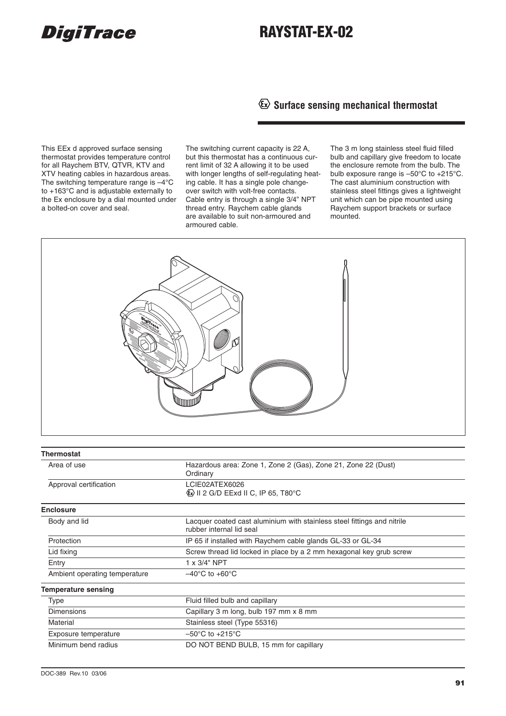# **DigiTrace**

# **RAYSTAT-EX-02**

**Surface sensing mechanical thermostat**

This EEx d approved surface sensing thermostat provides temperature control for all Raychem BTV, QTVR, KTV and XTV heating cables in hazardous areas. The switching temperature range is –4°C to +163°C and is adjustable externally to the Ex enclosure by a dial mounted under a bolted-on cover and seal.

The switching current capacity is 22 A, but this thermostat has a continuous current limit of 32 A allowing it to be used with longer lengths of self-regulating heating cable. It has a single pole changeover switch with volt-free contacts. Cable entry is through a single 3/4" NPT thread entry. Raychem cable glands are available to suit non-armoured and armoured cable.

The 3 m long stainless steel fluid filled bulb and capillary give freedom to locate the enclosure remote from the bulb. The bulb exposure range is –50°C to +215°C. The cast aluminium construction with stainless steel fittings gives a lightweight unit which can be pipe mounted using Raychem support brackets or surface mounted.



| Thermostat                    |                                                                                                     |
|-------------------------------|-----------------------------------------------------------------------------------------------------|
| Area of use                   | Hazardous area: Zone 1, Zone 2 (Gas), Zone 21, Zone 22 (Dust)<br>Ordinary                           |
| Approval certification        | LCIE02ATEX6026<br>$\circled{E}$ II 2 G/D EExd II C, IP 65, T80 $\circ$ C                            |
| <b>Enclosure</b>              |                                                                                                     |
| Body and lid                  | Lacquer coated cast aluminium with stainless steel fittings and nitrile<br>rubber internal lid seal |
| Protection                    | IP 65 if installed with Raychem cable glands GL-33 or GL-34                                         |
| Lid fixing                    | Screw thread lid locked in place by a 2 mm hexagonal key grub screw                                 |
| Entry                         | 1 x 3/4" NPT                                                                                        |
| Ambient operating temperature | $-40^{\circ}$ C to $+60^{\circ}$ C                                                                  |
| <b>Temperature sensing</b>    |                                                                                                     |
| Type                          | Fluid filled bulb and capillary                                                                     |
| <b>Dimensions</b>             | Capillary 3 m long, bulb 197 mm x 8 mm                                                              |
| Material                      | Stainless steel (Type 55316)                                                                        |
| Exposure temperature          | $-50^{\circ}$ C to $+215^{\circ}$ C                                                                 |
| Minimum bend radius           | DO NOT BEND BULB, 15 mm for capillary                                                               |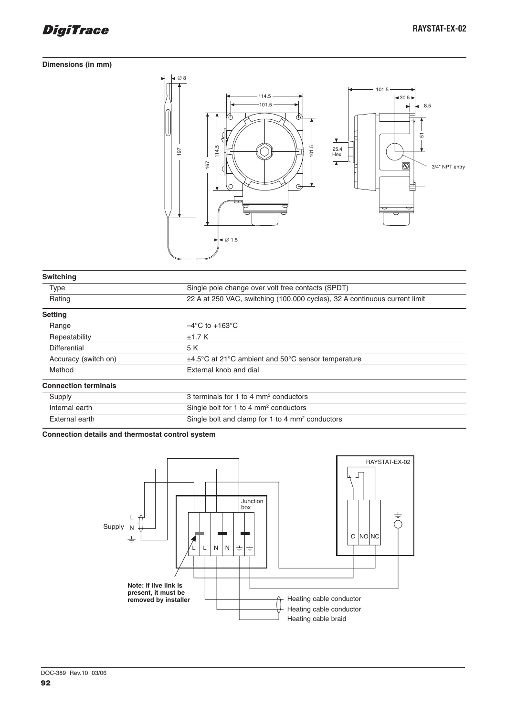

#### **Dimensions (in mm)**



| <b>Switching</b>            |                                                                            |
|-----------------------------|----------------------------------------------------------------------------|
| <b>Type</b>                 | Single pole change over volt free contacts (SPDT)                          |
| Rating                      | 22 A at 250 VAC, switching (100.000 cycles), 32 A continuous current limit |
| <b>Setting</b>              |                                                                            |
| Range                       | $-4^{\circ}$ C to +163 $^{\circ}$ C                                        |
| Repeatability               | ±1.7K                                                                      |
| Differential                | 5 K                                                                        |
| Accuracy (switch on)        | $\pm$ 4.5°C at 21°C ambient and 50°C sensor temperature                    |
| Method                      | External knob and dial                                                     |
| <b>Connection terminals</b> |                                                                            |
| Supply                      | 3 terminals for 1 to 4 mm <sup>2</sup> conductors                          |
| Internal earth              | Single bolt for 1 to 4 mm <sup>2</sup> conductors                          |
| External earth              | Single bolt and clamp for 1 to 4 mm <sup>2</sup> conductors                |

**Connection details and thermostat control system**